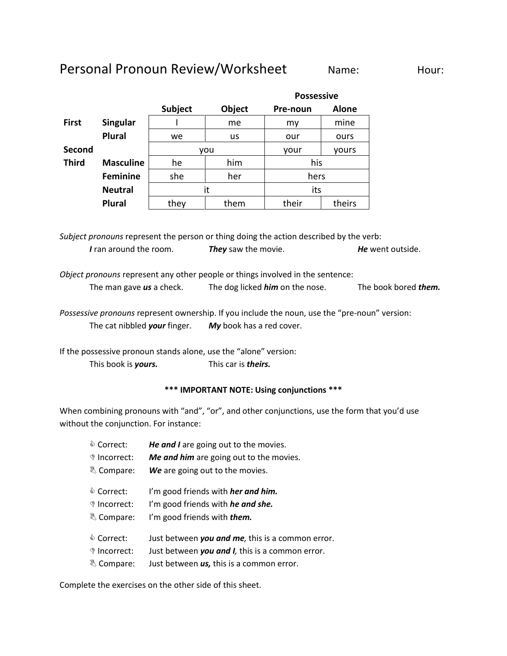## Personal Pronoun Review/Worksheet Name: Hour:

|              |                  |         |           | <b>Possessive</b> |              |
|--------------|------------------|---------|-----------|-------------------|--------------|
|              |                  | Subject | Object    | Pre-noun          | <b>Alone</b> |
| <b>First</b> | Singular         |         | me        | my                | mine         |
|              | <b>Plural</b>    | we      | <b>us</b> | our               | ours         |
| Second       |                  |         | you       | yours<br>your     |              |
| <b>Third</b> | <b>Masculine</b> | he      | him       | his<br>hers       |              |
|              | <b>Feminine</b>  | she     | her       |                   |              |
|              | <b>Neutral</b>   | it      |           | its               |              |
|              | <b>Plural</b>    | they    | them      | their             | theirs       |

*Subject pronouns* represent the person or thing doing the action described by the verb: *I* ran around the room. *They* saw the movie. *He* went outside.

*Object pronouns* represent any other people or things involved in the sentence: The man gave *us* a check. The dog licked *him* on the nose. The book bored *them.*

*Possessive pronouns* represent ownership. If you include the noun, use the "pre-noun" version: The cat nibbled *your* finger. *My* book has a red cover.

If the possessive pronoun stands alone, use the "alone" version: This book is *yours.* This car is *theirs.*

## **\*\*\* IMPORTANT NOTE: Using conjunctions \*\*\***

When combining pronouns with "and", "or", and other conjunctions, use the form that you'd use without the conjunction. For instance:

| ♦ Correct:              | He and I are going out to the movies.            |
|-------------------------|--------------------------------------------------|
| <sup>♦</sup> Incorrect: | Me and him are going out to the movies.          |
| & Compare:              | We are going out to the movies.                  |
| ♦ Correct:              | I'm good friends with <i>her and him.</i>        |
| <sup>♦</sup> Incorrect: | I'm good friends with he and she.                |
| & Compare:              | I'm good friends with <i>them.</i>               |
| ♦ Correct:              | Just between you and me, this is a common error. |
| <sup>♦</sup> Incorrect: | Just between you and I, this is a common error.  |
| & Compare:              | Just between <i>us</i> , this is a common error. |

Complete the exercises on the other side of this sheet.